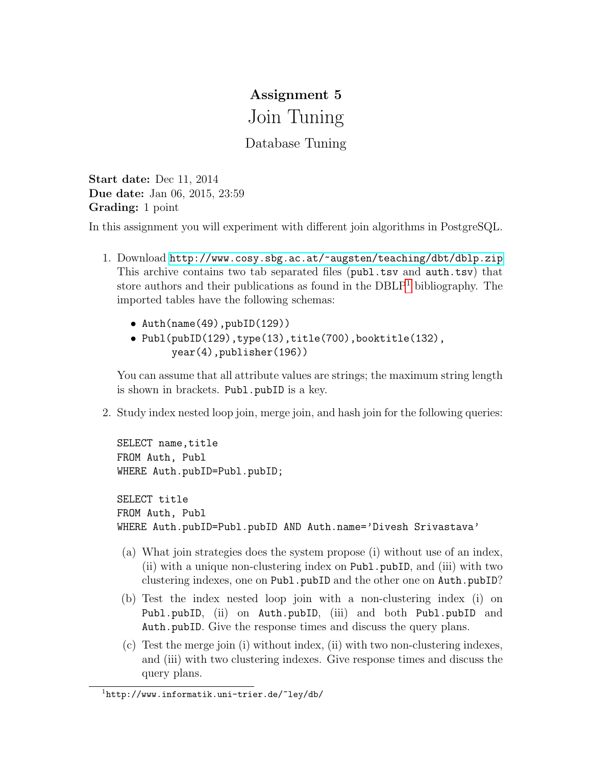## Assignment 5 Join Tuning

## Database Tuning

Start date: Dec 11, 2014 Due date: Jan 06, 2015, 23:59 Grading: 1 point

In this assignment you will experiment with different join algorithms in PostgreSQL.

- 1. Download <http://www.cosy.sbg.ac.at/~augsten/teaching/dbt/dblp.zip> This archive contains two tab separated files (publ.tsv and auth.tsv) that store authors and their publications as found in the  $DBLP<sup>1</sup>$  $DBLP<sup>1</sup>$  $DBLP<sup>1</sup>$  bibliography. The imported tables have the following schemas:
	- Auth(name(49),pubID(129))
	- Publ(pubID(129),type(13),title(700),booktitle(132), year(4),publisher(196))

You can assume that all attribute values are strings; the maximum string length is shown in brackets. Publ.pubID is a key.

2. Study index nested loop join, merge join, and hash join for the following queries:

```
SELECT name, title
FROM Auth, Publ
WHERE Auth.pubID=Publ.pubID;
SELECT title
FROM Auth, Publ
WHERE Auth.pubID=Publ.pubID AND Auth.name='Divesh Srivastava'
```
- (a) What join strategies does the system propose (i) without use of an index, (ii) with a unique non-clustering index on Publ.pubID, and (iii) with two clustering indexes, one on Publ.pubID and the other one on Auth.pubID?
- (b) Test the index nested loop join with a non-clustering index (i) on Publ.pubID, (ii) on Auth.pubID, (iii) and both Publ.pubID and Auth.pubID. Give the response times and discuss the query plans.
- (c) Test the merge join (i) without index, (ii) with two non-clustering indexes, and (iii) with two clustering indexes. Give response times and discuss the query plans.

<span id="page-0-0"></span><sup>1</sup>http://www.informatik.uni-trier.de/~ley/db/